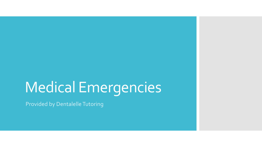### Medical Emergencies

Provided by Dentalelle Tutoring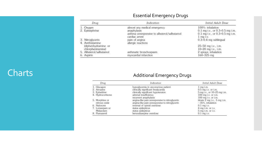#### Essential Emergency Drugs

| Drug                                     | Indication                                                                                                   | Initial Adult Dose                                                                                    |
|------------------------------------------|--------------------------------------------------------------------------------------------------------------|-------------------------------------------------------------------------------------------------------|
| 1. Oxygen<br>2. Epinephrine              | almost any medical emergency<br>anaphylaxis<br>asthma unresponsive to albuterol/salbutamol<br>cardiac arrest | 100%: inhalation<br>0.1 mg i.v., or 0.3-0.5 mg i.m.<br>0.1 mg i.v., or 0.3-0.5 mg i.m.<br>$1$ mq i.v. |
| 3. Nitroglycerin<br>4. Antihistamine     | pain of angina<br>allergic reactions                                                                         | 0.3-0.4 mg sublingual                                                                                 |
| (diphenhydramine or<br>chlorpheniramine) |                                                                                                              | 25-50 mg i.v., i.m.<br>10-20 mg i.v., i.m.                                                            |
| 5. Albuterol/salbutamol<br>6. Aspirin    | asthmatic bronchospasm<br>myocardial infarction                                                              | 2 sprays: inhalation<br>$160 - 325$ mg                                                                |

#### Charts **Charts Charts Additional Emergency Drugs**

| Drug |                                 | Indication                                                                                       | Initial Adult Dose                                      |
|------|---------------------------------|--------------------------------------------------------------------------------------------------|---------------------------------------------------------|
|      | 1. Glucagon                     | hypoglycemia in unconscious patient                                                              | $1$ mq i.m.                                             |
|      | 2. Atropine                     | clinically significant bradycardia                                                               | 0.5 mg i.v. or i.m.                                     |
|      | 3. Ephedrine                    | clinically significant hypotension                                                               | 5 mg i.v., or 10-25 mg i.m.                             |
|      | 4. Hydrocortisone               | adrenal insufficiency                                                                            | $100$ mq i.v. or i.m.                                   |
|      |                                 | recurrent anaphylaxis                                                                            | 100 mg i.v. or i.m.                                     |
|      | 5. Morphine or<br>nitrous oxide | angina-like pain unresponsive to nitroglycerin<br>angina-like pain unresponsive to nitroglycerin | titrate $2$ mg i.v., $5$ mg i.m.<br>$-35%$ , inhalation |
|      | 6. Naloxone                     | reversal of opioid overdose                                                                      | $0.1$ mg i.v.                                           |
|      | 7. Lorazepam or                 | status epilepticus                                                                               | $4$ mq i.m. or i.v.                                     |
|      | Midazolam                       | status epilepticus                                                                               | $5$ mg i.m. or i.v.                                     |
|      | 8. Flumazenil                   | benzodiazepine overdose                                                                          | $0.1$ mq i.v.                                           |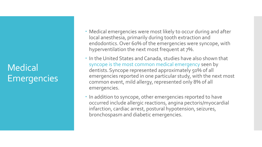#### Medical Emergencies

- Medical emergencies were most likely to occur during and after local anesthesia, primarily during tooth extraction and endodontics. Over 60% of the emergencies were syncope, with hyperventilation the next most frequent at 7%.
- In the United States and Canada, studies have also shown that syncope is the most common medical emergency seen by dentists.Syncope represented approximately 50% of all emergencies reported in one particular study, with the next most common event, mild allergy, represented only 8% of all emergencies.
- In addition to syncope, other emergencies reported to have occurred include allergic reactions, angina pectoris/myocardial infarction, cardiac arrest, postural hypotension, seizures, bronchospasm and diabetic emergencies.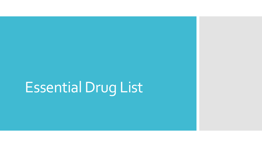# Essential Drug List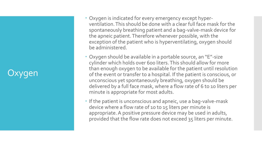#### Jxygen

- Oxygen is indicated for every emergency except hyper ventilation. This should be done with a clear full face mask for the spontaneously breathing patient and a bag -valve -mask device for the apneic patient. Therefore whenever possible, with the exception of the patient who is hyperventilating, oxygen should be administered.
- Oxygen should be available in a portable source, an "E" -size cylinder which holds over 600 liters. This should allow for more than enough oxygen to be available for the patient until resolution of the event or transfer to a hospital. If the patient is conscious, or unconscious yet spontaneously breathing, oxygen should be delivered by a full face mask, where a flow rate of 6 to 10 liters per minute is appropriate for most adults.
- If the patient is unconscious and apneic, use a bag-valve-mask device where a flow rate of 10 to 15 liters per minute is appropriate. A positive pressure device may be used in adults, provided that the flow rate does not exceed 35 liters per minute.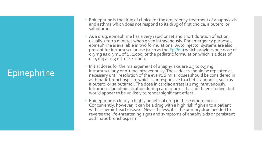#### **Epinephrine**

- Epinephrine is the drug of choice for the emergency treatment of anaphylaxis and asthma which does not respond to its drug of first choice, albuterol or salbutamol.
- As a drug, epinephrine has a very rapid onset and short duration of action, usually 5 to 10 minutes when given intravenously. For emergency purposes, epinephrine is available in two formulations. Auto injector systems are also present for intramuscular use (such as the EpiPen) which provides one dose of 0.3 mg as 0.3 mL of 1 : 1,000, or the pediatric formulation which is 1 dose of 0.15 mg as 0.3 mL of 1 : 2,000.
- Initial doses for the management of anaphylaxis are 0.3 to 0.5 mg intramuscularly or 0.1 mg intravenously. These doses should be repeated as necessary until resolution of the event. Similar doses should be considered in asthmatic bronchospasm which is unresponsive to a beta-2 agonist, such as albuterol or salbutamol. The dose in cardiac arrest is 1 mg intravenously. Intramuscular administration during cardiac arrest has not been studied, but would appear to be unlikely to render significant effect.
- Epinephrine is clearly a highly beneficial drug in these emergencies. Concurrently, however, it can be a drug with a high risk if given to a patient with ischemic heart disease. Nevertheless, it is the primary drug needed to reverse the life-threatening signs and symptoms of anaphylaxis or persistent asthmatic bronchospasm.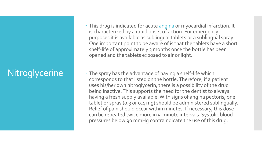#### **Nitroglycerine**

- This drug is indicated for acute angina or myocardial infarction. It is characterized by a rapid onset of action. For emergency purposes it is available as sublingual tablets or a sublingual spray. One important point to be aware of is that the tablets have a short shelf-life of approximately 3 months once the bottle has been opened and the tablets exposed to air or light.
- The spray has the advantage of having a shelf-life which corresponds to that listed on the bottle. Therefore, if a patient uses his/her own nitroglycerin, there is a possibility of the drug being inactive. This supports the need for the dentist to always having a fresh supply available. With signs of angina pectoris, one tablet or spray (0.3 or 0.4 mg) should be administered sublingually. Relief of pain should occur within minutes. If necessary, this dose can be repeated twice more in 5-minute intervals. Systolic blood pressures below 90 mmHg contraindicate the use of this drug.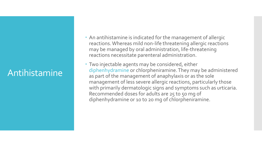#### Antihistamine

- An antihistamine is indicated for the management of allergic reactions. Whereas mild non-life threatening allergic reactions may be managed by oral administration, life-threatening reactions necessitate parenteral administration.
- Two injectable agents may be considered, either diphenhydramine or chlorpheniramine. They may be administered as part of the management of anaphylaxis or as the sole management of less severe allergic reactions, particularly those with primarily dermatologic signs and symptoms such as urticaria. Recommended doses for adults are 25 to 50 mg of diphenhydramine or 10 to 20 mg of chlorpheniramine.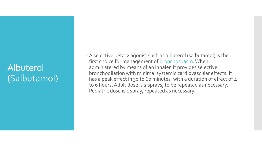#### Albuterol (Salbutamol)

 A selective beta-2 agonist such as albuterol (salbutamol) is the first choice for management of bronchospasm. When administered by means of an inhaler, it provides selective bronchodilation with minimal systemic cardiovascular effects. It has a peak effect in 30 to 60 minutes, with a duration of effect of 4 to 6 hours. Adult dose is 2 sprays, to be repeated as necessary. Pediatric dose is 1 spray, repeated as necessary.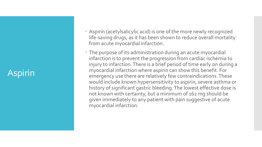#### Aspirin

- Aspirin (acetylsalicylic acid) is one of the more newly recognized life -saving drugs, as it has been shown to reduce overall mortality from acute myocardial infarction.
- The purpose of its administration during an acute myocardial infarction is to prevent the progression from cardiac ischemia to injury to infarction. There is a brief period of time early on during a myocardial infarction where aspirin can show this benefit. For emergency use there are relatively few contraindications. These would include known hypersensitivity to aspirin, severe asthma or history of significant gastric bleeding. The lowest effective dose is not known with certainty, but a minimum of 162 mg should be given immediately to any patient with pain suggestive of acute myocardial infarction.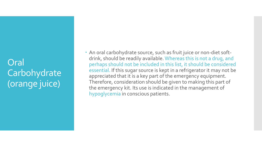Oral Carbohydrate (orange juice)

 An oral carbohydrate source, such as fruit juice or non-diet softdrink, should be readily available. Whereas this is not a drug, and perhaps should not be included in this list, it should be considered essential. If this sugar source is kept in a refrigerator it may not be appreciated that it is a key part of the emergency equipment. Therefore, consideration should be given to making this part of the emergency kit. Its use is indicated in the management of hypoglycemia in conscious patients.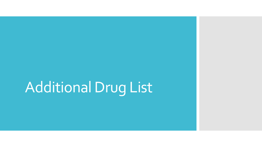# Additional Drug List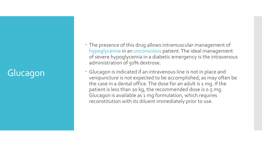#### Glucagon

- The presence of this drug allows intramuscular management of hypoglycemia in an unconscious patient. The ideal management of severe hypoglycemia in a diabetic emergency is the intravenous administration of 50% dextrose.
- Glucagon is indicated if an intravenous line is not in place and venipuncture is not expected to be accomplished, as may often be the case in a dental office. The dose for an adult is 1 mg. If the patient is less than 20 kg, the recommended dose is 0.5 mg. Glucagon is available as 1 mg formulation, which requires reconstitution with its diluent immediately prior to use.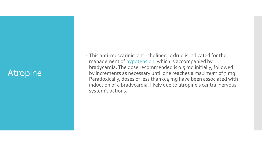#### **Atropine**

• This anti-muscarinic, anti-cholinergic drug is indicated for the management of hypotension, which is accompanied by bradycardia. The dose recommended is 0.5 mg initially, followed by increments as necessary until one reaches a maximum of 3 mg. Paradoxically, doses of less than 0.4 mg have been associated with induction of a bradycardia, likely due to atropine's central nervous system's actions.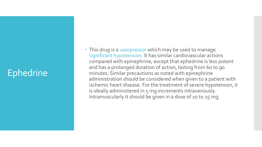#### Ephedrine

 This drug is a vasopressor which may be used to manage significant hypotension. It has similar cardiovascular actions compared with epinephrine, except that ephedrine is less potent and has a prolonged duration of action, lasting from 60 to 90 minutes. Similar precautions as noted with epinephrine administration should be considered when given to a patient with ischemic heart disease. For the treatment of severe hypotenson, it is ideally administered in 5 mg increments intravenously. Intramuscularly it should be given in a dose of 10 to 25 mg.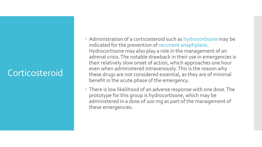#### Corticosteroid

- Administration of a corticosteroid such as hydrocortisone may be indicated for the prevention of recurrent anaphylaxis. Hydrocortisone may also play a role in the management of an adrenal crisis. The notable drawback in their use in emergencies is their relatively slow onset of action, which approaches one hour even when administered intravenously. This is the reason why these drugs are not considered essential, as they are of minimal benefit in the acute phase of the emergency.
- There is low likelihood of an adverse response with one dose. The prototype for this group is hydrocortisone, which may be administered in a dose of 100 mg as part of the management of these emergencies.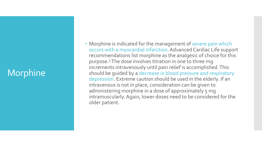#### Morphine

 Morphine is indicated for the management of severe pain which occurs with a myocardial infarction. Advanced Cardiac Life support recommendations list morphine as the analgesic of choice for this purpose.<sup>5</sup>The dose involves titration in one to three mg increments intravenously until pain relief is accomplished. This should be guided by a decrease in blood pressure and respiratory depression. Extreme caution should be used in the elderly. If an intravenous is not in place, consideration can be given to administering morphine in a dose of approximately 5 mg intramuscularly. Again, lower doses need to be considered for the older patient.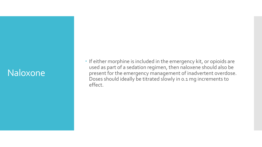#### Naloxone

• If either morphine is included in the emergency kit, or opioids are used as part of a sedation regimen, then naloxene should also be present for the emergency management of inadvertent overdose. Doses should ideally be titrated slowly in 0.1 mg increments to effect.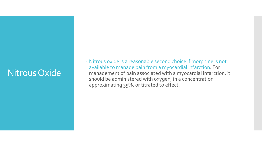#### Nitrous Oxide

 Nitrous oxide is a reasonable second choice if morphine is not available to manage pain from a myocardial infarction. For management of pain associated with a myocardial infarction, it should be administered with oxygen, in a concentration approximating 35%, or titrated to effect.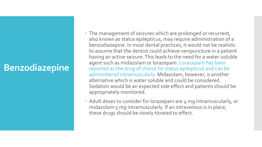#### **Benzodiazepine**

- The management of seizures which are prolonged or recurrent, also known as status epilepticus, may require administration of a benzodiazepine. In most dental practices, it would not be realistic to assume that the dentist could achieve venipuncture in a patient having an active seizure. This leads to the need for a water-soluble agent such as midazolam or lorazepam. Lorazepam has been reported as the drug of choice for status epilepticus and can be administered intramuscularly. Midazolam, however, is another alternative which is water soluble and could be considered. Sedation would be an expected side effect and patients should be appropriately monitored.
- Adult doses to consider for lorazepam are 4 mg intramuscularly, or midazolam 5 mg intramuscularly. If an intravenous is in place, these drugs should be slowly titrated to effect.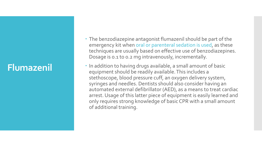#### **Flumazenil**

- The benzodiazepine antagonist flumazenil should be part of the emergency kit when oral or parenteral sedation is used, as these techniques are usually based on effective use of benzodiazepines. Dosage is 0.1 to 0.2 mg intravenously, incrementally.
- In addition to having drugs available, a small amount of basic equipment should be readily available. This includes a stethoscope, blood pressure cuff, an oxygen delivery system, syringes and needles. Dentists should also consider having an automated external defibrillator (AED), as a means to treat cardiac arrest. Usage of this latter piece of equipment is easily learned and only requires strong knowledge of basic CPR with a small amount of additional training.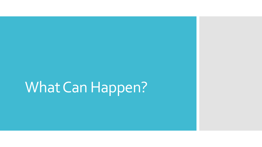### What Can Happen?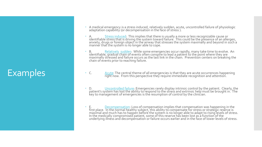#### Examples

- A medical emergency is a stress induced, relatively sudden, acute, uncontrolled failure of physiologic adaptation capabilitý (or decompensation in the fáce of stress ).
- A. Stress induced: This implies that there is usually a more or less recognizable cause or identifiable stress that is driving the system toward failure. This could be the presence of an allergen, anxiety, drugs or foreign object in the airway that stresses the system maximally and beyond in such a manner that the system is no longer able to cope.
- B. Relatively sudden: While some emergencies occur rapidly, many take time to evolve. An identifiable, gradual chain of events often conspire to lead a patient to the point where they are maximally stressed and failure occurs as the last link in the chain. Prevention centers on breaking the chain of events prior to reaching failure.
- C. Acute: The central theme of all emergencies is that they are acute occurrences happening right now. From this perspective they require immediate recognition and attention.
- D. Uncontrolled failure: Emergencies rarely display intrinsic control by the patient. Clearly, the patient's system has lost the ability to respond to the stres's and extrinsic help must be brought in. The key to management of emergencies is the resumption of control by the clinician.
- E. Decompensation: Loss of compensation implies that compensation was happening in the first place. In the normal healthy subject, this ability to compensate for stress or strategic reserve is maximal and much has to happen before the system is no longer able to adapt to rising levels of stress. In the medically compromised patient, some of this reserve has been lost as a function of the underlying illnéss and decompensation or failure occurs earlier and in the face of lower levels of stress.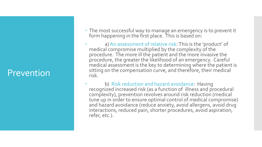#### Prevention

- The most successful way to manage an emergency is to prevent it form happening in the first place. This is based on:
- a) An assessment of relative risk: This is the 'product' of medical compromise multiplied by the complexity of the procedure. The more ill the patient and the more invasive the procedure, the greater the likelihood of an emergency. Careful medical assessment is the key to determining where the patient is sitting on the compensation curve, and therefore, their medical risk.
- b) Risk reduction and hazard avoidance: Having recognized increased risk (as a function of illness and procedural complexity), prevention revolves around risk reduction (medical tune up in order to ensure optimal control of medical compromise) and hazard avoidance (reduce anxiety, avoid allergens, avoid drug interactions, reduced pain, shorter procedures, avoid aspiration, refer, etc.).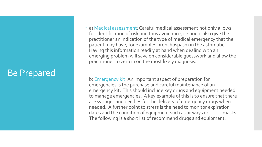#### Be Prepared

- a) Medical assessment: Careful medical assessment not only allows for identification of risk and thus avoidance, it should also give the practitioner an indication of the type of medical emergency that the patient may have, for example: bronchospasm in the asthmatic. Having this information readily at hand when dealing with an emerging problem will save on considerable guesswork and allow the practitioner to zero in on the most likely diagnosis.
- b) Emergency kit: An important aspect of preparation for emergencies is the purchase and careful maintenance of an emergency kit. This should include key drugs and equipment needed to manage emergencies. A key example of this is to ensure that there are syringes and needles for the delivery of emergency drugs when needed. A further point to stress is the need to monitor expiration dates and the condition of equipment such as airways or masks. The following is a short list of recommend drugs and equipment: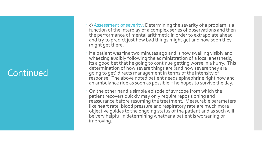#### Continued

- c) Assessment of severity: Determining the severity of a problem is a function of the interplay of a complex series of observations and then the performance of mental arithmetic in order to extrapolate ahead and try to predict just how bad things might get and how soon they might get there.
- If a patient was fine two minutes ago and is now swelling visibly and wheezing audibly following the administration of a local anesthetic, its a good bet that he going to continue getting worse in a hurry. This determination of how severe things are (and how severe they are going to get) directs management in terms of the intensity of response. The above noted patient needs epinephrine right now and an ambulance ride as soon as possible if he hopes to survive the day.
- On the other hand a simple episode of syncope from which the patient recovers quickly may only require repositioning and reassurance before resuming the treatment. Measurable parameters like heart rate, blood pressure and respiratory rate are much more objective guides to the ongoing status of the patient and as such will be very helpful in determining whether a patient is worsening or improving.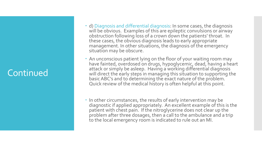#### Continued

- d) Diagnosis and differential diagnosis: In some cases, the diagnosis will be obvious. Examples of this are epileptic convulsions or airway obstruction following loss of a crown down the patients' throat. In these cases, the obvious diagnosis leads to early appropriate management. In other situations, the diagnosis of the emergency situation may be obscure.
- An unconscious patient lying on the floor of your waiting room may have fainted, overdosed on drugs, hypoglycemic, dead, having a heart attack or simply be asleep. Having a working differential diagnosis will direct the early steps in managing this situation to supporting the basic ABC's and to determining the exact nature of the problem. Quick review of the medical history is often helpful at this point.
- In other circumstances, the results of early intervention may be diagnostic if applied appropriately. An excellent example of this is the patient with chest pain. If the nitroglycerine does not clear up the problem after three dosages, then a call to the ambulance and a trip to the local emergency room is indicated to rule out an MI.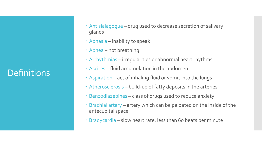#### **Definitions**

- Antisialagogue drug used to decrease secretion of salivary glands
- Aphasia inability to speak
- Apnea not breathing
- Arrhythmias irregularities or abnormal heart rhythms
- Ascites fluid accumulation in the abdomen
- Aspiration act of inhaling fluid or vomit into the lungs
- Atherosclerosis build-up of fatty deposits in the arteries
- Benzodiazepines class of drugs used to reduce anxiety
- Brachial artery artery which can be palpated on the inside of the antecubital space
- Bradycardia slow heart rate, less than 60 beats per minute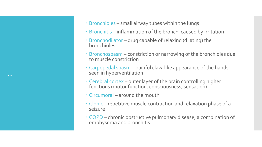

- Bronchitis inflammation of the bronchi caused by irritation
- Bronchodilator drug capable of relaxing (dilating) the bronchioles
- Bronchospasm constriction or narrowing of the bronchioles due to muscle constriction
- Carpopedal spasm painful claw-like appearance of the hands seen in hyperventilation
- Cerebral cortex outer layer of the brain controlling higher functions (motor function, consciousness, sensation)
- Circumoral around the mouth
- Clonic repetitive muscle contraction and relaxation phase of a seizure
- COPD chronic obstructive pulmonary disease, a combination of emphysema and bronchitis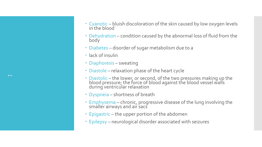- Cyanotic bluish discoloration of the skin caused by low oxygen levels in the blood
- Dehydration condition caused by the abnormal loss of fluid from the body
- Diabetes disorder of sugar metabolism due to a
- lack of insulin
- Diaphoresis sweating
- Diastole relaxation phase of the heart cycle
- Diastolic the lower, or second, of the two pressures making up the blood pressure; the force of blood against the blood vessel walls during ventricular relaxation
- Dyspneia shortness of breath
- Emphysema chronic, progressive disease of the lung involving the smaller airways and air sacs
- Epigastric the upper portion of the abdomen
- Epilepsy neurological disorder associated with seizures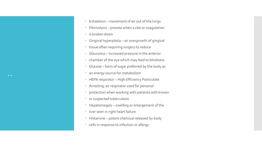- Exhalation movement of air out of the lungs
- Fibrinolysis process when a clot or coagulation
- **·** is broken down
- Gingival hyperplasia an overgrowth of gingival
- tissue often requiring surgery to reduce
- Glaucoma increased pressure in the anterior
- chamber of the eye which may lead to blindness
- Glucose form of sugar preferred by the body as
- an energy source for metabolism
- HEPA respirator High Efficiency Particulate
- Arresting; air respirator used for personal
- protection when working with patients with known
- or suspected tuberculosis
- Hepatomegaly swelling or enlargement of the
- liver seen in right heart failure
- Histamine potent chemical released by body
- cells in response to infection or allergy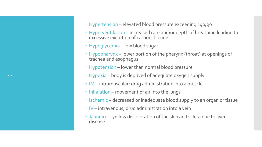- Hypertension elevated blood pressure exceeding 140/90
- Hyperventilation increased rate and/or depth of breathing leading to excessive excretion of carbon dioxide
- Hypoglycemia low blood sugar
- Hypopharynx lower portion of the pharynx (throat) at openings of trachea and esophagus
- Hypotension lower than normal blood pressure
- Hypoxia body is deprived of adequate oxygen supply
- IM intramuscular; drug administration into a muscle
- $\cdot$  Inhalation movement of air into the lungs
- Ischemic decreased or inadequate blood supply to an organ or tissue
- $\cdot$  IV intravenous; drug administration into a vein
- Jaundice yellow discoloration of the skin and sclera due to liver disease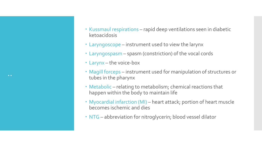- Kussmaul respirations rapid deep ventilations seen in diabetic ketoacidosis
- Laryngoscope instrument used to view the larynx
- Laryngospasm spasm (constriction) of the vocal cords
- Larynx the voice-box
- Magill forceps instrument used for manipulation of structures or tubes in the pharynx
- Metabolic relating to metabolism; chemical reactions that happen within the body to maintain life
- Myocardial infarction (MI) heart attack; portion of heart muscle becomes ischemic and dies
- NTG abbreviation for nitroglycerin; blood vessel dilator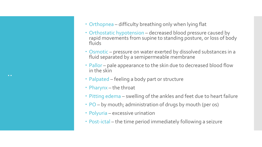- Orthopnea difficulty breathing only when lying flat
- Orthostatic hypotension decreased blood pressure caused by rapid movements from supine to standing posture, or loss of body fluids
- Osmotic pressure on water exerted by dissolved substances in a fluid separated by a semipermeable membrane
- Pallor pale appearance to the skin due to decreased blood flow in the skin
- Palpated feeling a body part or structure
- Pharynx the throat
- Pitting edema swelling of the ankles and feet due to heart failure
- PO by mouth; administration of drugs by mouth (per os)
- Polyuria excessive urination
- Post-ictal the time period immediately following a seizure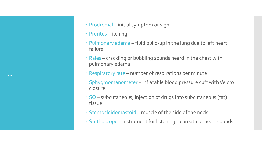- ..
- Prodromal initial symptom or sign
- Pruritus itching
- Pulmonary edema fluid build-up in the lung due to left heart failure
- Rales crackling or bubbling sounds heard in the chest with pulmonary edema
- Respiratory rate number of respirations per minute
- Sphygmomanometer inflatable blood pressure cuff with Velcro closure
- SQ subcutaneous; injection of drugs into subcutaneous (fat) tissue
- Sternocleidomastoid muscle of the side of the neck
- Stethoscope instrument for listening to breath or heart sounds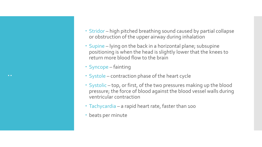- Stridor high pitched breathing sound caused by partial collapse or obstruction of the upper airway during inhalation
- Supine lying on the back in a horizontal plane; subsupine positioning is when the head is slightly lower that the knees to return more blood flow to the brain
- Syncope fainting
- Systole contraction phase of the heart cycle
- Systolic top, or first, of the two pressures making up the blood pressure; the force of blood against the blood vessel walls during ventricular contraction
- Tachycardia a rapid heart rate, faster than 100
- beats per minute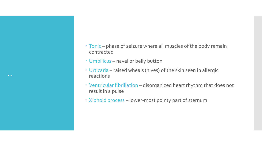- Tonic phase of seizure where all muscles of the body remain contracted
- Umbilicus navel or belly button
- Urticaria raised wheals (hives) of the skin seen in allergic reactions
- Ventricular fibrillation disorganized heart rhythm that does not result in a pulse
- Xiphoid process lower-most pointy part of sternum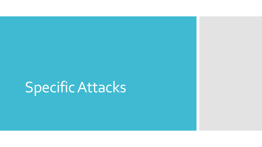### Specific Attacks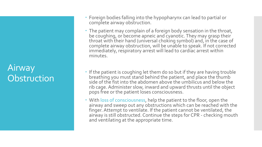#### Airway **Obstruction**

- Foreign bodies falling into the hypopharynx can lead to partial or complete airway obstruction.
- The patient may complain of a foreign body sensation in the throat, be coughing, or become apneic and cyanotic. They may grasp their throat with their hand (universal choking symbol) and, in the case of complete airway obstruction, will be unable to speak. If not corrected immediately, respiratory arrest will lead to cardiac arrest within minutes.
- If the patient is coughing let them do so but if they are having trouble breathing you must stand behind the patient, and place the thumb side of the fist into the abdomen above the umbilicus and below the rib cage. Administer slow, inward and upward thrusts until the object pops free or the patient loses consciousness.
- With loss of consciousness, help the patient to the floor, open the airway and sweep out any obstructions which can be reached with the finger. Attempt to ventilate. If the patient cannot be ventilated, the airway is still obstructed. Continue the steps for CPR - checking mouth and ventilating at the appropriate time.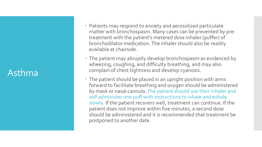#### Asthma

- Patients may respond to anxiety and aerosolized particulate matter with bronchospasm. Many cases can be prevented by pre treatment with the patient's metered dose inhaler (puffer) of bronchodilator medication. The inhaler should also be readily available at chairside.
- The patient may abruptly develop bronchospasm as evidenced by wheezing, coughing, and difficulty breathing, and may also complain of chest tightness and develop cyanosis.
- The patient should be placed in an upright position with arms forward to facilitate breathing and oxygen should be administered by mask or nasal cannula. The patient should use their inhaler and self administer one puff with instructions to inhale and exhale slowly. If the patient recovers well, treatment can continue. If the patient does not improve within five minutes, a second dose should be administered and it is recommended that treatment be postponed to another date.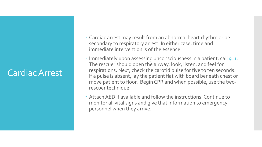#### Cardiac Arrest

- Cardiac arrest may result from an abnormal heart rhythm or be secondary to respiratory arrest. In either case, time and immediate intervention is of the essence.
- Immediately upon assessing unconsciousness in a patient, call 911. The rescuer should open the airway, look, listen, and feel for respirations. Next, check the carotid pulse for five to ten seconds. If a pulse is absent, lay the patient flat with board beneath chest or move patient to floor. Begin CPR and when possible, use the tworescuer technique.
- Attach AED if available and follow the instructions. Continue to monitor all vital signs and give that information to emergency personnel when they arrive.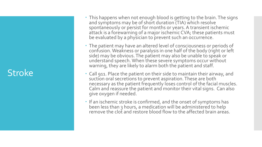#### **Stroke**

- This happens when not enough blood is getting to the brain. The signs and symptoms may be of short duration (TIA) which resolve spontaneously or persist for months or years. A transient ischemic attack is a forewarning of a major ischemic CVA; these patients must be evaluated by a physician to prevent such an occurrence.
- The patient may have an altered level of consciousness or periods of confusion. Weakness or paralysis in one half of the body (right or left side) may be obvious. The patient may also be unable to speak or understand speech. When these severe symptoms occur without warning, they are likely to alarm both the patient and staff.
- Call 911. Place the patient on their side to maintain their airway, and suction oral secretions to prevent aspiration. These are both necessary as the patient frequently loses control of the facial muscles. Calm and reassure the patient and monitor their vital signs. Can also give oxygen if needed.
- If an ischemic stroke is confirmed, and the onset of symptoms has been less than 3 hours, a medication will be administered to help remove the clot and restore blood flow to the affected brain areas.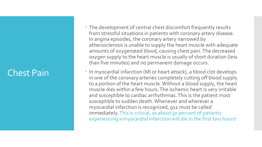#### Chest Pain

- The development of central chest discomfort frequently results from stressful situations in patients with coronary artery disease. In angina episodes, the coronary artery narrowed by atherosclerosis is unable to supply the heart muscle with adequate amounts of oxygenated blood, causing chest pain. The decreased oxygen supply to the heart muscle is usually of short duration (less than five minutes) and no permanent damage occurs.
- In myocardial infarction (MI or heart attack), a blood clot develops in one of the coronary arteries completely cutting off blood supply to a portion of the heart muscle. Without a blood supply, the heart muscle dies within a few hours. The ischemic heart is very irritable and susceptible to cardiac arrhythmias. This is the patient most susceptible to sudden death. Whenever and wherever a myocardial infarction is recognized, 911 must be called immediately. This is critical, as about 50 percent of patients experiencing a myocardial infarction will die in the first two hours!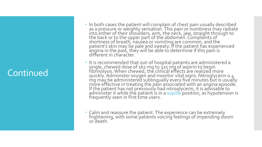#### Continued

- In both cases the patient will complain of chest pain usually described as a pressure or weighty sensation. This pain or numbness may radiate into either of their shoulders, arm, the neck, jaw, straight through to the back or to the upper part of the abdomen. Complaints of shortness of breath, nausea or vomiting are common, and the  $\overline{\phantom{a}}$ patient's skin may be pale and sweaty. If the patient has experienced angina in the past, they will be able to determine if this pain is different in character.
- It is recommended that out-of hospital patients are administered a single, chewed dose of 162 mg to 325 mg of aspirin to begin fibrinolysis. When chewed, the clinical effects are realized more quickly. Administer oxygen and monitor vital signs. Nitroglycerin 0.4  $mg$  má $\gamma$  be administered sublingually every five minutes but is usually more effective in treating the pain associated with an angina episode. If the patient has not previously had nitroglycerin, it is advisable to administer it while the patient is in a supine position, as hypotension is frequently seen in first time users.
- Calm and reassure the patient. The experience can be extremely frightening, with some patients voicing feelings of impending doom or death.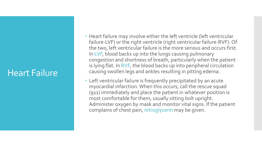#### Heart Failure

- Heart failure may involve either the left ventricle (left ventricular failure-LVF) or the right ventricle (right ventricular failure-RVF). Of the two, left ventricular failure is the more serious and occurs first. In LVF, blood backs up into the lungs causing pulmonary congestion and shortness of breath, particularly when the patient is lying flat. In RVF, the blood backs up into peripheral circulation causing swollen legs and ankles resulting in pitting edema.
- Left ventricular failure is frequently precipitated by an acute myocardial infarction. When this occurs, call the rescue squad (911) immediately and place the patient in whatever position is most comfortable for them, usually sitting bolt upright. Administer oxygen by mask and monitor vital signs. If the patient complains of chest pain, nitroglycerin may be given.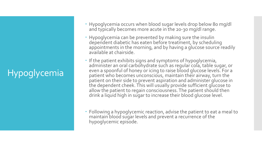### Hypoglycemia

- Hypoglycemia occurs when blood sugar levels drop below 80 mg/dl and typically becomes more acute in the 20-30 mg/dl range.
- Hypoglycemia can be prevented by making sure the insulin dependent diabetic has eaten before treatment, by scheduling appointments in the morning, and by having a glucose source readily available at chairside.
- If the patient exhibits signs and symptoms of hypoglycemia, administer an oral carbohydrate such as regular cola, table sugar, or even a spoonful of honey or icing to raise blood glucose levels. For a patient who becomes unconscious, maintain their airway, turn the patient on their side to prevent aspiration and administer glucose in the dependent cheek. This will usually provide sufficient glucose to allow the patient to regain consciousness. The patient should then drink a liquid high in sugar to increase their blood glucose level.
- Following a hypoglycemic reaction, advise the patient to eat a meal to maintain blood sugar levels and prevent a recurrence of the hypoglycemic episode.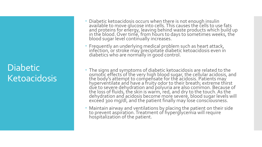#### **Diabetic Ketoacidosis**

- Diabetic ketoacidosis occurs when there is not enough insulin available to move glucose into cells. This causes the cells to use fats and proteins for energy, leaving behind waste products which build up in the blood. Over time, from hours to days to sometimes weeks, the  $\,$ blood sugar level continually increases.
- Frequently an underlying medical problem such as heart attack, infection, or stroke may precipitate diabetic ketoacidosis even in diabetics who are normally in good control.
- The signs and symptoms of diabetic ketoacidosis are related to the osmotic effects of the very high blood sugar, the cellular acidosis, and the body's attempt to compensate for the acidosis. Patients may hyperventilate and have a fruity odor to their breath; extreme thirst due to severe dehydration and polyuria are also common. Because of the loss of fluids, the skin is warm, red, and dry to the touch. As the dehydration and acidosis become more severe, blood sugar levels will excéed 300 mg/dl, and the patient finally may lose consciousness.
- Maintain airway and ventilations by placing the patient on their side to prevent aspiration. Treatment of hyperglycemia will require hospitalization of the patient.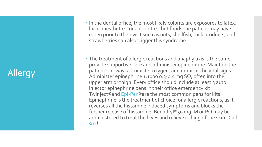### Allergy

- In the dental office, the most likely culprits are exposures to latex, local anesthetics, or antibiotics, but foods the patient may have eaten prior to their visit such as nuts, shellfish, milk products, and strawberries can also trigger this syndrome.
- The treatment of allergic reactions and anaphylaxis is the same provide supportive care and administer epinephrine. Maintain the patient's airway, administer oxygen, and monitor the vital signs. Administer epinephrine 1:1000 0.3 -0.5 mg SQ, often into the upper arm or thigh. Every office should include at least 3 auto injector epinephrine pens in their office emergency kit. Twinject®and Epi -Pen®are the most common pens for kits. Epinephrine is the treatment of choice for allergic reactions, as it reverses all the histamine induced symptoms and blocks the further release of histamine. Benadryl®50 mg IM or PO may be administered to treat the hives and relieve itching of the skin. Call 911!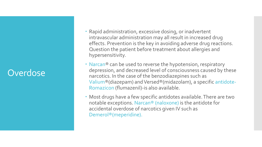#### **Overdose**

- Rapid administration, excessive dosing, or inadvertent intravascular administration may all result in increased drug effects. Prevention is the key in avoiding adverse drug reactions. Question the patient before treatment about allergies and hypersensitivity.
- Narcan® can be used to reverse the hypotension, respiratory depression, and decreased level of consciousness caused by these narcotics. In the case of the benzodiazepines such as Valium®(diazepam) and Versed®(midazolam), a specific antidote-Romazicon (flumazenil)-is also available.
- Most drugs have a few specific antidotes available. There are two notable exceptions. Narcan® (naloxone) is the antidote for accidental overdose of narcotics given IV such as Demerol®(meperidine).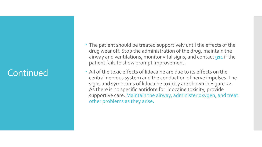#### Continued

- The patient should be treated supportively until the effects of the drug wear off. Stop the administration of the drug, maintain the airway and ventilations, monitor vital signs, and contact 911 if the patient fails to show prompt improvement.
- All of the toxic effects of lidocaine are due to its effects on the central nervous system and the conduction of nerve impulses. The signs and symptoms of lidocaine toxicity are shown in Figure 22. As there is no specific antidote for lidocaine toxicity, provide supportive care. Maintain the airway, administer oxygen, and treat other problems as they arise.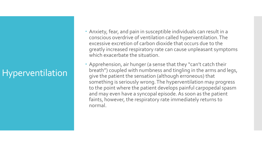#### Hyperventilation

- Anxiety, fear, and pain in susceptible individuals can result in a conscious overdrive of ventilation called hyperventilation. The excessive excretion of carbon dioxide that occurs due to the greatly increased respiratory rate can cause unpleasant symptoms which exacerbate the situation.
- Apprehension, air hunger (a sense that they "can't catch their breath") coupled with numbness and tingling in the arms and legs, give the patient the sensation (although erroneous) that something is seriously wrong. The hyperventilation may progress to the point where the patient develops painful carpopedal spasm and may even have a syncopal episode. As soon as the patient faints, however, the respiratory rate immediately returns to normal.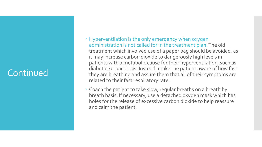#### Continued

- Hyperventilation is the only emergency when oxygen administration is not called for in the treatment plan. The old treatment which involved use of a paper bag should be avoided, as it may increase carbon dioxide to dangerously high levels in patients with a metabolic cause for their hyperventilation, such as diabetic ketoacidosis. Instead, make the patient aware of how fast they are breathing and assure them that all of their symptoms are related to their fast respiratory rate.
- Coach the patient to take slow, regular breaths on a breath by breath basis. If necessary, use a detached oxygen mask which has holes for the release of excessive carbon dioxide to help reassure and calm the patient.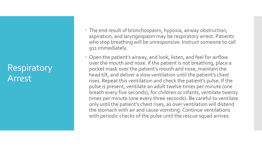#### **Respiratory** Arrest

- The end result of bronchospasm, hypoxia, airway obstruction, aspiration, and laryngospasm may be respiratory arrest. Patients who stop breathing will be unresponsive. Instruct someone to call 911 immediately.
- Open the patient's airway, and look, listen, and feel for airflow over the mouth and nose. If the patient is not breathing, place a pocket mask over the patient's mouth and nose, maintain the head tilt, and deliver a slow ventilation until the patient's chest rises. Repeat this ventilation and check the patient's pulse. If the pulse is present, ventilate an adult twelve times per minute (one breath every five seconds); for children or infants, ventilate twenty times per minute (one every three seconds). Be careful to ventilate only until the patient's chest rises, as over ventilation will distend the stomach with air and cause vomiting. Continue ventilations with periodic checks of the pulse until the rescue squad arrives.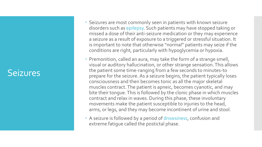#### Seizures

- Seizures are most commonly seen in patients with known seizure disorders such as epilepsy. Such patients may have stopped taking or missed a dose of their anti -seizure medication or they may experience a seizure as a result of exposure to a triggered or stressful situation. It is important to note that otherwise "normal" patients may seize if the conditions are right, particularly with hypoglycemia or hypoxia.
- Premonition, called an aura, may take the form of a strange smell, visual or auditory hallucination, or other strange sensation. This allows the patient some time -ranging from a few seconds to minutes -to prepare for the seizure. As a seizure begins, the patient typically loses consciousness and then becomes tonic as all the major skeletal muscles contract. The patient is apneic, becomes cyanotic, and may bite their tongue. This is followed by the clonic phase in which muscles contract and relax in waves. During this phase, these involuntary movements make the patient susceptible to injuries to the head, arms, or legs, and they may become incontinent of urine and stool.
- A seizure is followed by a period of drowsiness, confusion and extreme fatigue called the postictal phase.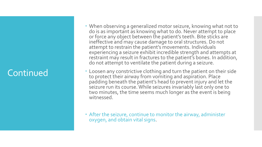#### Continued

- When observing a generalized motor seizure, knowing what not to do is as important as knowing what to do. Never attempt to place or force any object between the patient's teeth. Bite sticks are ineffective and may cause damage to oral structures. Do not attempt to restrain the patient's movements. Individuals experiencing a seizure exhibit incredible strength and attempts at restraint may result in fractures to the patient's bones. In addition, do not attempt to ventilate the patient during a seizure.
- Loosen any constrictive clothing and turn the patient on their side to protect their airway from vomiting and aspiration. Place padding beneath the patient's head to prevent injury and let the seizure run its course. While seizures invariably last only one to two minutes, the time seems much longer as the event is being witnessed.
- After the seizure, continue to monitor the airway, administer oxygen, and obtain vital signs.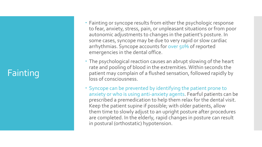#### Fainting

- Fainting or syncope results from either the psychologic response to fear, anxiety, stress, pain, or unpleasant situations or from poor autonomic adjustments to changes in the patient's posture. In some cases, syncope may be due to very rapid or slow cardiac arrhythmias. Syncope accounts for over 50% of reported emergencies in the dental office.
- The psychological reaction causes an abrupt slowing of the heart rate and pooling of blood in the extremities. Within seconds the patient may complain of a flushed sensation, followed rapidly by loss of consciousness.
- Syncope can be prevented by identifying the patient prone to anxiety or who is using anti -anxiety agents. Fearful patients can be prescribed a premedication to help them relax for the dental visit. Keep the patient supine if possible; with older patients, allow them time to slowly adjust to an upright posture after procedures are completed. In the elderly, rapid changes in posture can result in postural (orthostatic) hypotension.